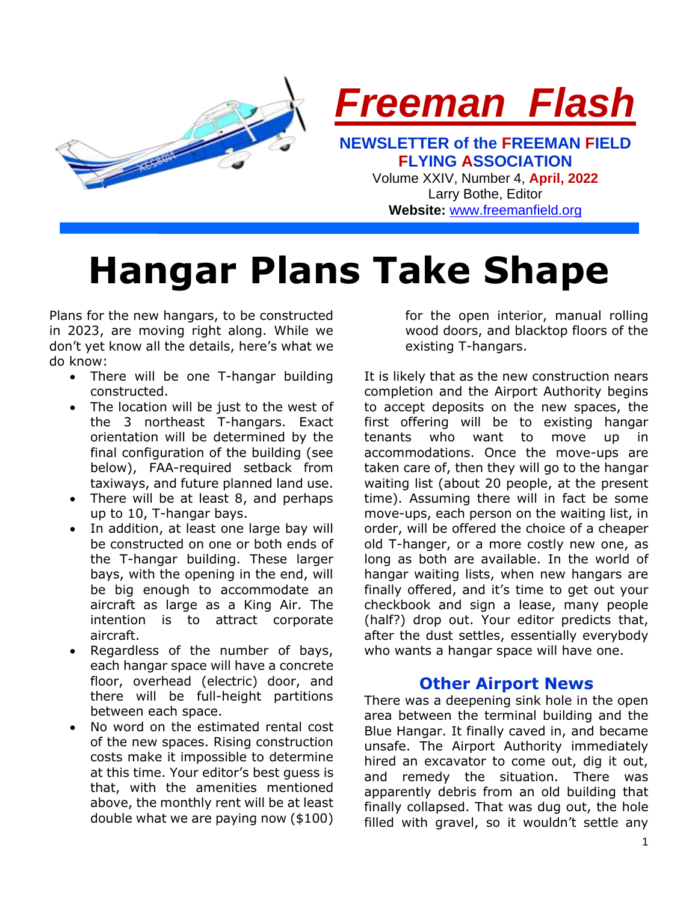

**Hangar Plans Take Shape**

Plans for the new hangars, to be constructed in 2023, are moving right along. While we don't yet know all the details, here's what we do know:

- There will be one T-hangar building constructed.
- The location will be just to the west of the 3 northeast T-hangars. Exact orientation will be determined by the final configuration of the building (see below), FAA-required setback from taxiways, and future planned land use.
- There will be at least 8, and perhaps up to 10, T-hangar bays.
- In addition, at least one large bay will be constructed on one or both ends of the T-hangar building. These larger bays, with the opening in the end, will be big enough to accommodate an aircraft as large as a King Air. The intention is to attract corporate aircraft.
- Regardless of the number of bays, each hangar space will have a concrete floor, overhead (electric) door, and there will be full-height partitions between each space.
- No word on the estimated rental cost of the new spaces. Rising construction costs make it impossible to determine at this time. Your editor's best guess is that, with the amenities mentioned above, the monthly rent will be at least double what we are paying now (\$100)

for the open interior, manual rolling wood doors, and blacktop floors of the existing T-hangars.

It is likely that as the new construction nears completion and the Airport Authority begins to accept deposits on the new spaces, the first offering will be to existing hangar tenants who want to move up in accommodations. Once the move-ups are taken care of, then they will go to the hangar waiting list (about 20 people, at the present time). Assuming there will in fact be some move-ups, each person on the waiting list, in order, will be offered the choice of a cheaper old T-hanger, or a more costly new one, as long as both are available. In the world of hangar waiting lists, when new hangars are finally offered, and it's time to get out your checkbook and sign a lease, many people (half?) drop out. Your editor predicts that, after the dust settles, essentially everybody who wants a hangar space will have one.

### **Other Airport News**

There was a deepening sink hole in the open area between the terminal building and the Blue Hangar. It finally caved in, and became unsafe. The Airport Authority immediately hired an excavator to come out, dig it out, and remedy the situation. There was apparently debris from an old building that finally collapsed. That was dug out, the hole filled with gravel, so it wouldn't settle any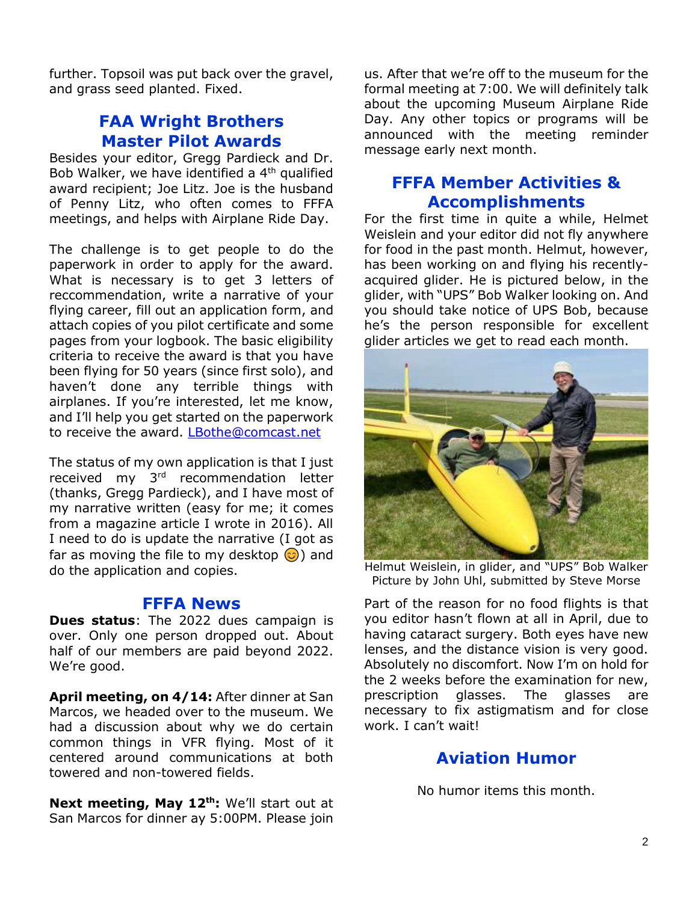further. Topsoil was put back over the gravel, and grass seed planted. Fixed.

## **FAA Wright Brothers Master Pilot Awards**

Besides your editor, Gregg Pardieck and Dr. Bob Walker, we have identified a 4<sup>th</sup> qualified award recipient; Joe Litz. Joe is the husband of Penny Litz, who often comes to FFFA meetings, and helps with Airplane Ride Day.

The challenge is to get people to do the paperwork in order to apply for the award. What is necessary is to get 3 letters of reccommendation, write a narrative of your flying career, fill out an application form, and attach copies of you pilot certificate and some pages from your logbook. The basic eligibility criteria to receive the award is that you have been flying for 50 years (since first solo), and haven't done any terrible things with airplanes. If you're interested, let me know, and I'll help you get started on the paperwork to receive the award. [LBothe@comcast.net](mailto:LBothe@comcast.net)

The status of my own application is that I just received my 3rd recommendation letter (thanks, Gregg Pardieck), and I have most of my narrative written (easy for me; it comes from a magazine article I wrote in 2016). All I need to do is update the narrative (I got as far as moving the file to my desktop  $\odot$ ) and do the application and copies.

### **FFFA News**

**Dues status**: The 2022 dues campaign is over. Only one person dropped out. About half of our members are paid beyond 2022. We're good.

**April meeting, on 4/14:** After dinner at San Marcos, we headed over to the museum. We had a discussion about why we do certain common things in VFR flying. Most of it centered around communications at both towered and non-towered fields.

**Next meeting, May 12th:** We'll start out at San Marcos for dinner ay 5:00PM. Please join

us. After that we're off to the museum for the formal meeting at 7:00. We will definitely talk about the upcoming Museum Airplane Ride Day. Any other topics or programs will be announced with the meeting reminder message early next month.

## **FFFA Member Activities & Accomplishments**

For the first time in quite a while, Helmet Weislein and your editor did not fly anywhere for food in the past month. Helmut, however, has been working on and flying his recentlyacquired glider. He is pictured below, in the glider, with "UPS" Bob Walker looking on. And you should take notice of UPS Bob, because he's the person responsible for excellent glider articles we get to read each month.



Helmut Weislein, in glider, and "UPS" Bob Walker Picture by John Uhl, submitted by Steve Morse

Part of the reason for no food flights is that you editor hasn't flown at all in April, due to having cataract surgery. Both eyes have new lenses, and the distance vision is very good. Absolutely no discomfort. Now I'm on hold for the 2 weeks before the examination for new, prescription glasses. The glasses are necessary to fix astigmatism and for close work. I can't wait!

## **Aviation Humor**

No humor items this month.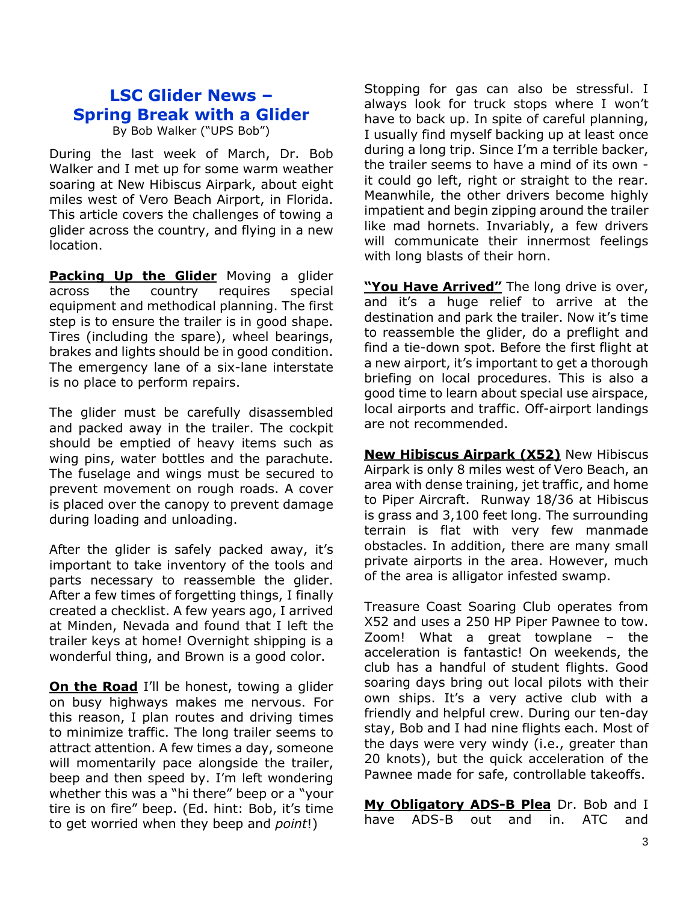# **LSC Glider News – Spring Break with a Glider**

By Bob Walker ("UPS Bob")

During the last week of March, Dr. Bob Walker and I met up for some warm weather soaring at New Hibiscus Airpark, about eight miles west of Vero Beach Airport, in Florida. This article covers the challenges of towing a glider across the country, and flying in a new location.

**Packing Up the Glider** Moving a glider across the country requires special equipment and methodical planning. The first step is to ensure the trailer is in good shape. Tires (including the spare), wheel bearings, brakes and lights should be in good condition. The emergency lane of a six-lane interstate is no place to perform repairs.

The glider must be carefully disassembled and packed away in the trailer. The cockpit should be emptied of heavy items such as wing pins, water bottles and the parachute. The fuselage and wings must be secured to prevent movement on rough roads. A cover is placed over the canopy to prevent damage during loading and unloading.

After the glider is safely packed away, it's important to take inventory of the tools and parts necessary to reassemble the glider. After a few times of forgetting things, I finally created a checklist. A few years ago, I arrived at Minden, Nevada and found that I left the trailer keys at home! Overnight shipping is a wonderful thing, and Brown is a good color.

**On the Road** I'll be honest, towing a glider on busy highways makes me nervous. For this reason, I plan routes and driving times to minimize traffic. The long trailer seems to attract attention. A few times a day, someone will momentarily pace alongside the trailer, beep and then speed by. I'm left wondering whether this was a "hi there" beep or a "your tire is on fire" beep. (Ed. hint: Bob, it's time to get worried when they beep and *point*!)

Stopping for gas can also be stressful. I always look for truck stops where I won't have to back up. In spite of careful planning, I usually find myself backing up at least once during a long trip. Since I'm a terrible backer, the trailer seems to have a mind of its own it could go left, right or straight to the rear. Meanwhile, the other drivers become highly impatient and begin zipping around the trailer like mad hornets. Invariably, a few drivers will communicate their innermost feelings with long blasts of their horn.

**"You Have Arrived"** The long drive is over, and it's a huge relief to arrive at the destination and park the trailer. Now it's time to reassemble the glider, do a preflight and find a tie-down spot. Before the first flight at a new airport, it's important to get a thorough briefing on local procedures. This is also a good time to learn about special use airspace, local airports and traffic. Off-airport landings are not recommended.

**New Hibiscus Airpark (X52)** New Hibiscus Airpark is only 8 miles west of Vero Beach, an area with dense training, jet traffic, and home to Piper Aircraft. Runway 18/36 at Hibiscus is grass and 3,100 feet long. The surrounding terrain is flat with very few manmade obstacles. In addition, there are many small private airports in the area. However, much of the area is alligator infested swamp.

Treasure Coast Soaring Club operates from X52 and uses a 250 HP Piper Pawnee to tow. Zoom! What a great towplane – the acceleration is fantastic! On weekends, the club has a handful of student flights. Good soaring days bring out local pilots with their own ships. It's a very active club with a friendly and helpful crew. During our ten-day stay, Bob and I had nine flights each. Most of the days were very windy (i.e., greater than 20 knots), but the quick acceleration of the Pawnee made for safe, controllable takeoffs.

**My Obligatory ADS-B Plea** Dr. Bob and I have ADS-B out and in. ATC and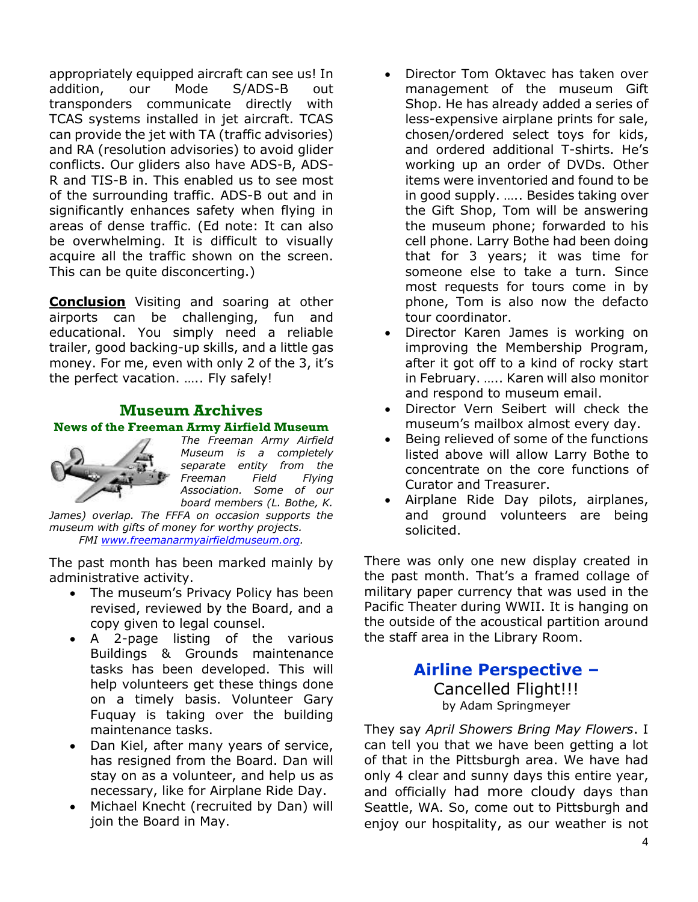appropriately equipped aircraft can see us! In addition, our Mode S/ADS-B out transponders communicate directly with TCAS systems installed in jet aircraft. TCAS can provide the jet with TA (traffic advisories) and RA (resolution advisories) to avoid glider conflicts. Our gliders also have ADS-B, ADS-R and TIS-B in. This enabled us to see most of the surrounding traffic. ADS-B out and in significantly enhances safety when flying in areas of dense traffic. (Ed note: It can also be overwhelming. It is difficult to visually acquire all the traffic shown on the screen. This can be quite disconcerting.)

**Conclusion** Visiting and soaring at other airports can be challenging, fun and educational. You simply need a reliable trailer, good backing-up skills, and a little gas money. For me, even with only 2 of the 3, it's the perfect vacation. ….. Fly safely!

#### **Museum Archives News of the Freeman Army Airfield Museum**



*The Freeman Army Airfield Museum is a completely separate entity from the Freeman Field Flying Association. Some of our board members (L. Bothe, K.* 

*James) overlap. The FFFA on occasion supports the museum with gifts of money for worthy projects. FMI [www.freemanarmyairfieldmuseum.org.](http://www.freemanarmyairfieldmuseum.org/)*

The past month has been marked mainly by administrative activity.

- The museum's Privacy Policy has been revised, reviewed by the Board, and a copy given to legal counsel.
- A 2-page listing of the various Buildings & Grounds maintenance tasks has been developed. This will help volunteers get these things done on a timely basis. Volunteer Gary Fuquay is taking over the building maintenance tasks.
- Dan Kiel, after many years of service, has resigned from the Board. Dan will stay on as a volunteer, and help us as necessary, like for Airplane Ride Day.
- Michael Knecht (recruited by Dan) will join the Board in May.
- Director Tom Oktavec has taken over management of the museum Gift Shop. He has already added a series of less-expensive airplane prints for sale, chosen/ordered select toys for kids, and ordered additional T-shirts. He's working up an order of DVDs. Other items were inventoried and found to be in good supply. ….. Besides taking over the Gift Shop, Tom will be answering the museum phone; forwarded to his cell phone. Larry Bothe had been doing that for 3 years; it was time for someone else to take a turn. Since most requests for tours come in by phone, Tom is also now the defacto tour coordinator.
- Director Karen James is working on improving the Membership Program, after it got off to a kind of rocky start in February. ….. Karen will also monitor and respond to museum email.
- Director Vern Seibert will check the museum's mailbox almost every day.
- Being relieved of some of the functions listed above will allow Larry Bothe to concentrate on the core functions of Curator and Treasurer.
- Airplane Ride Day pilots, airplanes, and ground volunteers are being solicited.

There was only one new display created in the past month. That's a framed collage of military paper currency that was used in the Pacific Theater during WWII. It is hanging on the outside of the acoustical partition around the staff area in the Library Room.

### **Airline Perspective –** Cancelled Flight!!! by Adam Springmeyer

They say *April Showers Bring May Flowers*. I can tell you that we have been getting a lot of that in the Pittsburgh area. We have had only 4 clear and sunny days this entire year, and officially had more cloudy days than Seattle, WA. So, come out to Pittsburgh and enjoy our hospitality, as our weather is not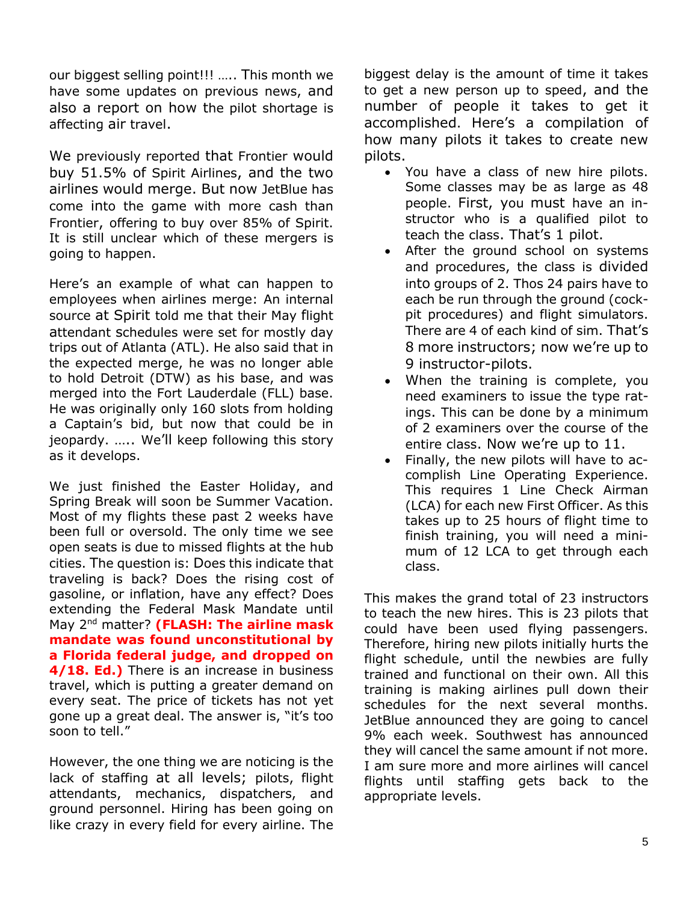our biggest selling point!!! ….. This month we have some updates on previous news, and also a report on how the pilot shortage is affecting air travel.

We previously reported that Frontier would buy 51.5% of Spirit Airlines, and the two airlines would merge. But now JetBlue has come into the game with more cash than Frontier, offering to buy over 85% of Spirit. It is still unclear which of these mergers is going to happen.

Here's an example of what can happen to employees when airlines merge: An internal source at Spirit told me that their May flight attendant schedules were set for mostly day trips out of Atlanta (ATL). He also said that in the expected merge, he was no longer able to hold Detroit (DTW) as his base, and was merged into the Fort Lauderdale (FLL) base. He was originally only 160 slots from holding a Captain's bid, but now that could be in jeopardy. ….. We'll keep following this story as it develops.

We just finished the Easter Holiday, and Spring Break will soon be Summer Vacation. Most of my flights these past 2 weeks have been full or oversold. The only time we see open seats is due to missed flights at the hub cities. The question is: Does this indicate that traveling is back? Does the rising cost of gasoline, or inflation, have any effect? Does extending the Federal Mask Mandate until May 2nd matter? **(FLASH: The airline mask mandate was found unconstitutional by a Florida federal judge, and dropped on 4/18. Ed.)** There is an increase in business travel, which is putting a greater demand on every seat. The price of tickets has not yet gone up a great deal. The answer is, "it's too soon to tell."

However, the one thing we are noticing is the lack of staffing at all levels; pilots, flight attendants, mechanics, dispatchers, and ground personnel. Hiring has been going on like crazy in every field for every airline. The

biggest delay is the amount of time it takes to get a new person up to speed, and the number of people it takes to get it accomplished. Here's a compilation of how many pilots it takes to create new pilots.

- You have a class of new hire pilots. Some classes may be as large as 48 people. First, you must have an instructor who is a qualified pilot to teach the class. That's 1 pilot.
- After the ground school on systems and procedures, the class is divided into groups of 2. Thos 24 pairs have to each be run through the ground (cockpit procedures) and flight simulators. There are 4 of each kind of sim. That's 8 more instructors; now we're up to 9 instructor-pilots.
- When the training is complete, you need examiners to issue the type ratings. This can be done by a minimum of 2 examiners over the course of the entire class. Now we're up to 11.
- Finally, the new pilots will have to accomplish Line Operating Experience. This requires 1 Line Check Airman (LCA) for each new First Officer. As this takes up to 25 hours of flight time to finish training, you will need a minimum of 12 LCA to get through each class.

This makes the grand total of 23 instructors to teach the new hires. This is 23 pilots that could have been used flying passengers. Therefore, hiring new pilots initially hurts the flight schedule, until the newbies are fully trained and functional on their own. All this training is making airlines pull down their schedules for the next several months. JetBlue announced they are going to cancel 9% each week. Southwest has announced they will cancel the same amount if not more. I am sure more and more airlines will cancel flights until staffing gets back to the appropriate levels.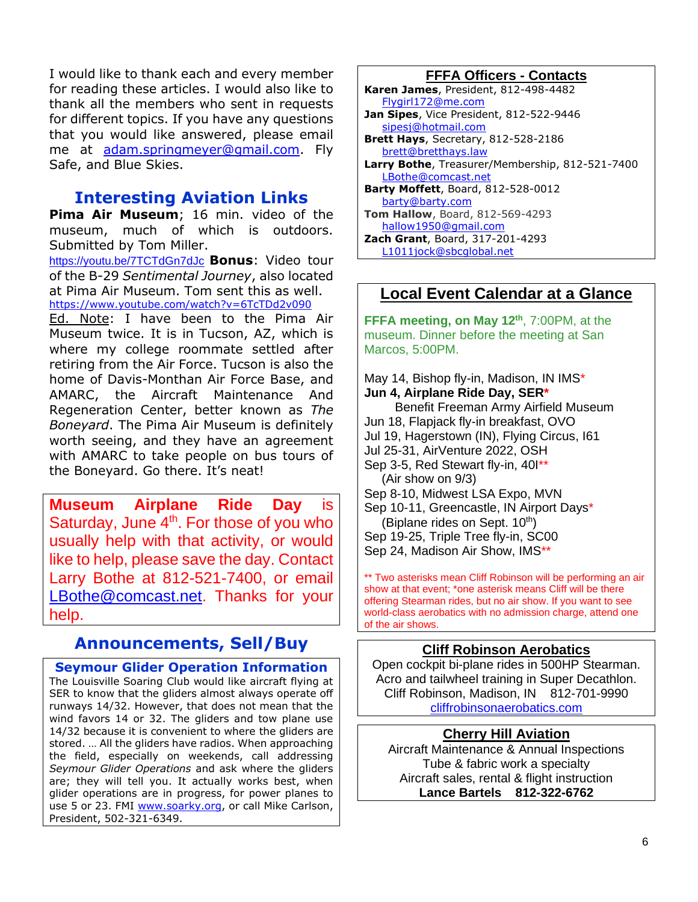I would like to thank each and every member for reading these articles. I would also like to thank all the members who sent in requests for different topics. If you have any questions that you would like answered, please email me at [adam.springmeyer@gmail.com.](mailto:adam.springmeyer@gmail.com) Fly Safe, and Blue Skies.

## **Interesting Aviation Links**

**Pima Air Museum**; 16 min. video of the museum, much of which is outdoors. Submitted by Tom Miller.

<https://youtu.be/7TCTdGn7dJc> **Bonus**: Video tour of the B-29 *Sentimental Journey*, also located at Pima Air Museum. Tom sent this as well. <https://www.youtube.com/watch?v=6TcTDd2v090>

Ed. Note: I have been to the Pima Air Museum twice. It is in Tucson, AZ, which is where my college roommate settled after retiring from the Air Force. Tucson is also the home of Davis-Monthan Air Force Base, and AMARC, the Aircraft Maintenance And Regeneration Center, better known as *The Boneyard*. The Pima Air Museum is definitely worth seeing, and they have an agreement with AMARC to take people on bus tours of the Boneyard. Go there. It's neat!

**Museum Airplane Ride Day** is Saturday, June 4<sup>th</sup>. For those of you who usually help with that activity, or would like to help, please save the day. Contact Larry Bothe at 812-521-7400, or email [LBothe@comcast.net.](mailto:LBothe@comcast.net) Thanks for your help.

## **Announcements, Sell/Buy**

**Seymour Glider Operation Information** The Louisville Soaring Club would like aircraft flying at SER to know that the gliders almost always operate off runways 14/32. However, that does not mean that the wind favors 14 or 32. The gliders and tow plane use 14/32 because it is convenient to where the gliders are stored. … All the gliders have radios. When approaching the field, especially on weekends, call addressing *Seymour Glider Operations* and ask where the gliders are; they will tell you. It actually works best, when glider operations are in progress, for power planes to use 5 or 23. FMI [www.soarky.org,](http://www.soarky.org/) or call Mike Carlson, President, 502-321-6349.

#### **FFFA Officers - Contacts**

**Karen James**, President, 812-498-4482 [Flygirl172@me.com](mailto:Flygirl172@me.com)

- **Jan Sipes**, Vice President, 812-522-9446 [sipesj@hotmail.com](mailto:sipesj@hotmail.com)
- **Brett Hays**, Secretary, 812-528-2186 [brett@bretthays.law](mailto:brett@bretthays.law) **Larry Bothe**, Treasurer/Membership, 812-521-7400 [LBothe@comcast.net](mailto:LBothe@comcast.net)
- **Barty Moffett**, Board, 812-528-0012 [barty@barty.com](mailto:barty@barty.com) **Tom Hallow**, Board, 812-569-4293
- [hallow1950@gmail.com](mailto:hallow1950@gmail.com) **Zach Grant**, Board, 317-201-4293
- [L1011jock@sbcglobal.net](mailto:L1011jock@sbcglobal.net)

### **Local Event Calendar at a Glance**

**FFFA meeting, on May 12th**, 7:00PM, at the museum. Dinner before the meeting at San Marcos, 5:00PM.

May 14, Bishop fly-in, Madison, IN IMS\* **Jun 4, Airplane Ride Day, SER\***

Benefit Freeman Army Airfield Museum Jun 18, Flapjack fly-in breakfast, OVO Jul 19, Hagerstown (IN), Flying Circus, I61 Jul 25-31, AirVenture 2022, OSH Sep 3-5, Red Stewart fly-in, 401\*\* (Air show on 9/3) Sep 8-10, Midwest LSA Expo, MVN Sep 10-11, Greencastle, IN Airport Davs\* (Biplane rides on Sept.  $10<sup>th</sup>$ ) Sep 19-25, Triple Tree fly-in, SC00 Sep 24, Madison Air Show, IMS\*\*

\*\* Two asterisks mean Cliff Robinson will be performing an air show at that event; \*one asterisk means Cliff will be there offering Stearman rides, but no air show. If you want to see world-class aerobatics with no admission charge, attend one of the air shows.

#### **Cliff Robinson Aerobatics**

Open cockpit bi-plane rides in 500HP Stearman. Acro and tailwheel training in Super Decathlon. Cliff Robinson, Madison, IN 812-701-9990 [cliffrobinsonaerobatics.com](http://cliffrobinsonaerobatics.com/)

#### **Cherry Hill Aviation**

Aircraft Maintenance & Annual Inspections Tube & fabric work a specialty Aircraft sales, rental & flight instruction **Lance Bartels 812-322-6762**